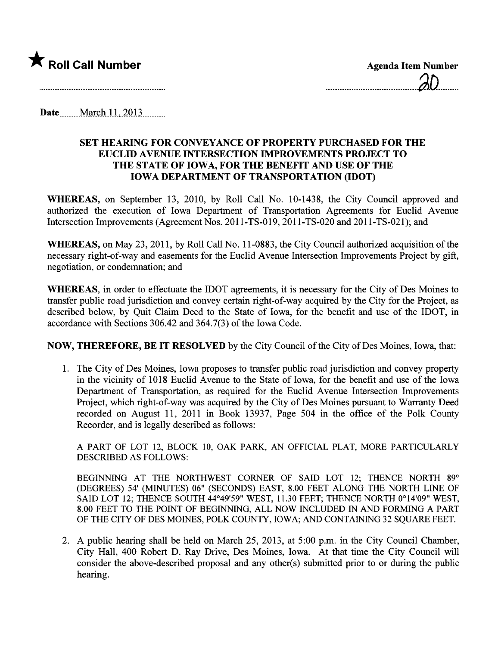

........................................1.D.........

Date <u>March 11</u>, 2013

## SET HEARNG FOR CONVEYANCE OF PROPERTY PURCHASED FOR THE EUCLID AVENUE INTERSECTION IMPROVEMENTS PROJECT TO THE STATE OF IOWA, FOR THE BENEFIT AND USE OF THE IOWA DEPARTMENT OF TRASPORTATION (IDOT)

WHEREAS, on September 13, 2010, by Roll Call No. 10-1438, the City Council approved and authorized the execution of Iowa Department of Transportation Agreements for Euclid Avenue Intersection Improvements (Agreement Nos. 2011-TS-019, 2011-TS-020 and 2011-TS-021); and

WHEREAS, on May 23, 2011, by Roll Call No. 11-0883, the City Council authorized acquisition of the necessary right-of-way and easements for the Euclid Avenue Intersection Improvements Project by gift, negotiation, or condemnation; and

WHEREAS, in order to effectuate the IDOT agreements, it is necessary for the City of Des Moines to transfer public road jursdiction and convey certain right-of-way acquired by the City for the Project, as described below, by Quit Claim Deed to the State of Iowa, for the benefit and use of the IDOT, in accordance with Sections 306.42 and 364.7(3) of the Iowa Code.

NOW, THEREFORE, BE IT RESOLVED by the City Council of the City of Des Moines, Iowa, that:

1. The City of Des Moines, Iowa proposes to transfer public road jurisdiction and convey property in the vicinity of 1018 Euclid Avenue to the State of Iowa, for the benefit and use of the Iowa Department of Transportation, as required for the Euclid Avenue Intersection Improvements Project, which right-of-way was acquired by the City of Des Moines pursuant to Warranty Deed recorded on August 11, 2011 in Book 13937, Page 504 in the office of the Polk County Recorder, and is legally described as follows:

A PART OF LOT 12, BLOCK 10, OAK PARK, AN OFFICIAL PLAT, MORE PARTICULARLY DESCRIBED AS FOLLOWS:

BEGINING AT THE NORTHWEST CORNER OF SAID LOT 12; THENCE NORTH 89° (DEGREES) 54' (MINTES) 06" (SECONDS) EAST, 8.00 FEET ALONG THE NORTH LINE OF SAID LOT 12; THENCE SOUTH 44°49'59" WEST, 11.30 FEET; THENCE NORTH 0°14'09" WEST, 8.00 FEET TO THE POINT OF BEGINING, ALL NOW INCLUDED IN AND FORMING A PART OF THE CITY OF DES MOINES, POLK COUNTY, IOWA; AND CONTAING 32 SQUARE FEET.

2. A public hearing shall be held on March 25, 2013, at 5:00 p.m. in the City Council Chamber, City Hall, 400 Robert D. Ray Drive, Des Moines, Iowa. At that time the City Council wil consider the above-described proposal and any other(s) submitted prior to or during the public hearing.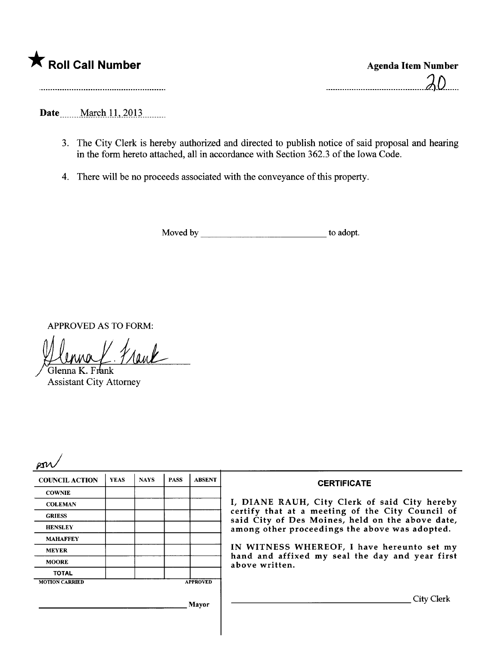|  | <b>K</b> Roll Call Number |  |
|--|---------------------------|--|
|  |                           |  |

Date \_\_\_\_\_ March 11, 2013

- 3. The City Clerk is hereby authorized and directed to publish notice of said proposal and hearing in the form hereto attached, all in accordance with Section 362.3 of the Iowa Code.
- 4. There will be no proceeds associated with the conveyance of this property.

Moved by to adopt.

APPROVED AS TO FORM:<br>  $\iiint_{\mathcal{U}} \iint_{\mathcal{U}} \iint_{\mathcal{U}} \iint_{\mathcal{U}} \iint_{\mathcal{U}} \iint_{\mathcal{U}} \iint_{\mathcal{U}} \iint_{\mathcal{U}}$ 

Assistant City Attorney

| м | ٠,<br>L |
|---|---------|
|---|---------|

| <b>COUNCIL ACTION</b> | <b>YEAS</b> | <b>NAYS</b> | <b>PASS</b> | <b>ABSENT</b>   | <b>CERTIFICATE</b>                                                                                                                                     |
|-----------------------|-------------|-------------|-------------|-----------------|--------------------------------------------------------------------------------------------------------------------------------------------------------|
| <b>COWNIE</b>         |             |             |             |                 |                                                                                                                                                        |
| <b>COLEMAN</b>        |             |             |             |                 | I, DIANE RAUH, City Clerk of said City hereby                                                                                                          |
| <b>GRIESS</b>         |             |             |             |                 | certify that at a meeting of the City Council of<br>said City of Des Moines, held on the above date,<br>among other proceedings the above was adopted. |
| <b>HENSLEY</b>        |             |             |             |                 |                                                                                                                                                        |
| <b>MAHAFFEY</b>       |             |             |             |                 |                                                                                                                                                        |
| <b>MEYER</b>          |             |             |             |                 | IN WITNESS WHEREOF, I have hereunto set my                                                                                                             |
| <b>MOORE</b>          |             |             |             |                 | hand and affixed my seal the day and year first<br>above written.                                                                                      |
| <b>TOTAL</b>          |             |             |             |                 |                                                                                                                                                        |
| <b>MOTION CARRIED</b> |             |             |             | <b>APPROVED</b> |                                                                                                                                                        |
|                       |             |             |             | Mayor           | <b>City Clerk</b>                                                                                                                                      |
|                       |             |             |             |                 |                                                                                                                                                        |